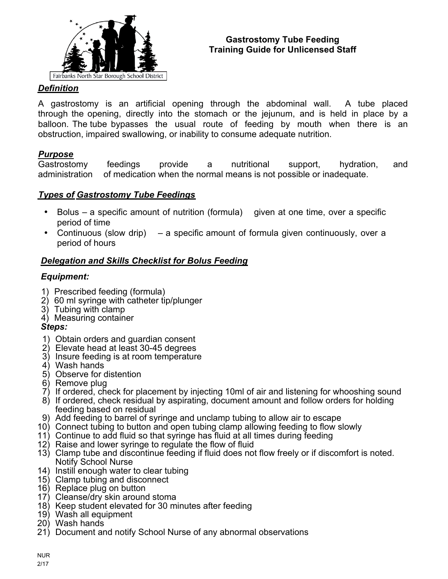

#### **Gastrostomy Tube Feeding Training Guide for Unlicensed Staff**

# *Definition*

A gastrostomy is an artificial opening through the abdominal wall. A tube placed through the opening, directly into the stomach or the jejunum, and is held in place by a balloon. The tube bypasses the usual route of feeding by mouth when there is an obstruction, impaired swallowing, or inability to consume adequate nutrition.

## *Purpose*

Gastrostomy feedings provide a nutritional support, hydration, and administration of medication when the normal means is not possible or inadequate.

## *Types of Gastrostomy Tube Feedings*

- Bolus a specific amount of nutrition (formula) given at one time, over a specific period of time
- Continuous (slow drip) a specific amount of formula given continuously, over a period of hours

## *Delegation and Skills Checklist for Bolus Feeding*

## *Equipment:*

- 1) Prescribed feeding (formula)
- 2) 60 ml syringe with catheter tip/plunger
- 3) Tubing with clamp
- 4) Measuring container

## *Steps:*

- 1) Obtain orders and guardian consent
- 2) Elevate head at least 30-45 degrees
- 3) Insure feeding is at room temperature
- 4) Wash hands
- 5) Observe for distention
- 6) Remove plug
- 7) If ordered, check for placement by injecting 10ml of air and listening for whooshing sound
- 8) If ordered, check residual by aspirating, document amount and follow orders for holding feeding based on residual
- 9) Add feeding to barrel of syringe and unclamp tubing to allow air to escape
- 10) Connect tubing to button and open tubing clamp allowing feeding to flow slowly
- 11) Continue to add fluid so that syringe has fluid at all times during feeding
- 12) Raise and lower syringe to regulate the flow of fluid
- 13) Clamp tube and discontinue feeding if fluid does not flow freely or if discomfort is noted. Notify School Nurse
- 14) Instill enough water to clear tubing
- 15) Clamp tubing and disconnect
- 16) Replace plug on button
- 17) Cleanse/dry skin around stoma
- 18) Keep student elevated for 30 minutes after feeding
- 19) Wash all equipment
- 20) Wash hands
- 21) Document and notify School Nurse of any abnormal observations